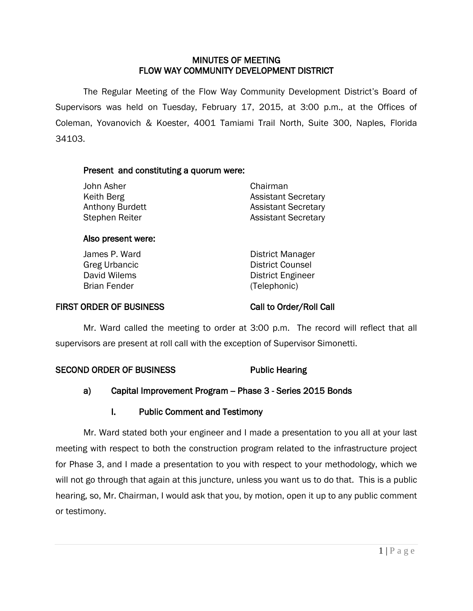#### MINUTES OF MEETING FLOW WAY COMMUNITY DEVELOPMENT DISTRICT

 The Regular Meeting of the Flow Way Community Development District's Board of Supervisors was held on Tuesday, February 17, 2015, at 3:00 p.m., at the Offices of Coleman, Yovanovich & Koester, 4001 Tamiami Trail North, Suite 300, Naples, Florida 34103.

## Present and constituting a quorum were:

| Chairman                   |
|----------------------------|
| <b>Assistant Secretary</b> |
| <b>Assistant Secretary</b> |
| <b>Assistant Secretary</b> |
|                            |

#### Also present were:

James P. Ward **District Manager** Greg Urbancic **District Counsel** David Wilems District Engineer (Telephonic)

#### FIRST ORDER OF BUSINESS Call to Order/Roll Call

Mr. Ward called the meeting to order at 3:00 p.m. The record will reflect that all supervisors are present at roll call with the exception of Supervisor Simonetti.

#### SECOND ORDER OF BUSINESS Public Hearing

## a) Capital Improvement Program - Phase 3 - Series 2015 Bonds

## I. Public Comment and Testimony

Mr. Ward stated both your engineer and I made a presentation to you all at your last meeting with respect to both the construction program related to the infrastructure project for Phase 3, and I made a presentation to you with respect to your methodology, which we will not go through that again at this juncture, unless you want us to do that. This is a public hearing, so, Mr. Chairman, I would ask that you, by motion, open it up to any public comment or testimony.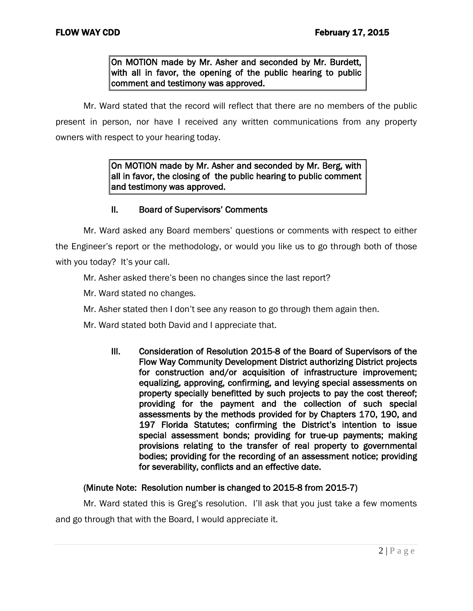On MOTION made by Mr. Asher and seconded by Mr. Burdett, with all in favor, the opening of the public hearing to public comment and testimony was approved.

Mr. Ward stated that the record will reflect that there are no members of the public present in person, nor have I received any written communications from any property owners with respect to your hearing today.

> On MOTION made by Mr. Asher and seconded by Mr. Berg, with all in favor, the closing of the public hearing to public comment and testimony was approved.

## II. Board of Supervisors' Comments

Mr. Ward asked any Board members' questions or comments with respect to either the Engineer's report or the methodology, or would you like us to go through both of those with you today? It's your call.

- Mr. Asher asked there's been no changes since the last report?
- Mr. Ward stated no changes.
- Mr. Asher stated then I don't see any reason to go through them again then.
- Mr. Ward stated both David and I appreciate that.
	- III. Consideration of Resolution 2015-8 of the Board of Supervisors of the Flow Way Community Development District authorizing District projects for construction and/or acquisition of infrastructure improvement; equalizing, approving, confirming, and levying special assessments on property specially benefitted by such projects to pay the cost thereof; providing for the payment and the collection of such special assessments by the methods provided for by Chapters 170, 190, and 197 Florida Statutes; confirming the District's intention to issue special assessment bonds; providing for true-up payments; making provisions relating to the transfer of real property to governmental bodies; providing for the recording of an assessment notice; providing for severability, conflicts and an effective date.

## (Minute Note: Resolution number is changed to 2015-8 from 2015-7)

Mr. Ward stated this is Greg's resolution. I'll ask that you just take a few moments and go through that with the Board, I would appreciate it.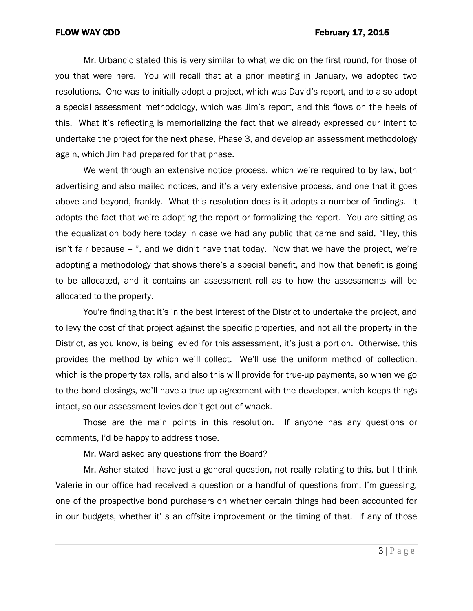#### FLOW WAY CDD **FLOW WAY CDD**

Mr. Urbancic stated this is very similar to what we did on the first round, for those of you that were here. You will recall that at a prior meeting in January, we adopted two resolutions. One was to initially adopt a project, which was David's report, and to also adopt a special assessment methodology, which was Jim's report, and this flows on the heels of this. What it's reflecting is memorializing the fact that we already expressed our intent to undertake the project for the next phase, Phase 3, and develop an assessment methodology again, which Jim had prepared for that phase.

We went through an extensive notice process, which we're required to by law, both advertising and also mailed notices, and it's a very extensive process, and one that it goes above and beyond, frankly. What this resolution does is it adopts a number of findings. It adopts the fact that we're adopting the report or formalizing the report. You are sitting as the equalization body here today in case we had any public that came and said, "Hey, this isn't fair because  $-$  ", and we didn't have that today. Now that we have the project, we're adopting a methodology that shows there's a special benefit, and how that benefit is going to be allocated, and it contains an assessment roll as to how the assessments will be allocated to the property.

You're finding that it's in the best interest of the District to undertake the project, and to levy the cost of that project against the specific properties, and not all the property in the District, as you know, is being levied for this assessment, it's just a portion. Otherwise, this provides the method by which we'll collect. We'll use the uniform method of collection, which is the property tax rolls, and also this will provide for true-up payments, so when we go to the bond closings, we'll have a true-up agreement with the developer, which keeps things intact, so our assessment levies don't get out of whack.

Those are the main points in this resolution. If anyone has any questions or comments, I'd be happy to address those.

Mr. Ward asked any questions from the Board?

Mr. Asher stated I have just a general question, not really relating to this, but I think Valerie in our office had received a question or a handful of questions from, I'm guessing, one of the prospective bond purchasers on whether certain things had been accounted for in our budgets, whether it' s an offsite improvement or the timing of that. If any of those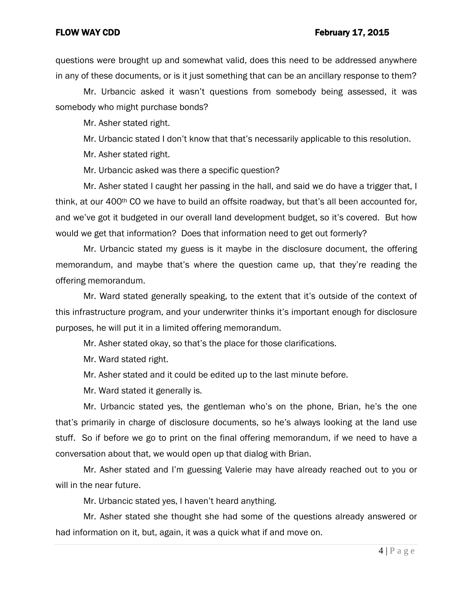questions were brought up and somewhat valid, does this need to be addressed anywhere in any of these documents, or is it just something that can be an ancillary response to them?

Mr. Urbancic asked it wasn't questions from somebody being assessed, it was somebody who might purchase bonds?

Mr. Asher stated right.

Mr. Urbancic stated I don't know that that's necessarily applicable to this resolution.

Mr. Asher stated right.

Mr. Urbancic asked was there a specific question?

Mr. Asher stated I caught her passing in the hall, and said we do have a trigger that, I think, at our 400th CO we have to build an offsite roadway, but that's all been accounted for, and we've got it budgeted in our overall land development budget, so it's covered. But how would we get that information? Does that information need to get out formerly?

Mr. Urbancic stated my guess is it maybe in the disclosure document, the offering memorandum, and maybe that's where the question came up, that they're reading the offering memorandum.

Mr. Ward stated generally speaking, to the extent that it's outside of the context of this infrastructure program, and your underwriter thinks it's important enough for disclosure purposes, he will put it in a limited offering memorandum.

Mr. Asher stated okay, so that's the place for those clarifications.

Mr. Ward stated right.

Mr. Asher stated and it could be edited up to the last minute before.

Mr. Ward stated it generally is.

Mr. Urbancic stated yes, the gentleman who's on the phone, Brian, he's the one that's primarily in charge of disclosure documents, so he's always looking at the land use stuff. So if before we go to print on the final offering memorandum, if we need to have a conversation about that, we would open up that dialog with Brian.

Mr. Asher stated and I'm guessing Valerie may have already reached out to you or will in the near future.

Mr. Urbancic stated yes, I haven't heard anything.

Mr. Asher stated she thought she had some of the questions already answered or had information on it, but, again, it was a quick what if and move on.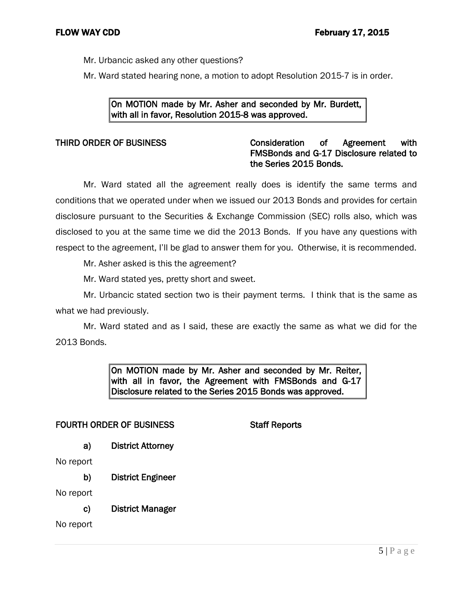Mr. Urbancic asked any other questions?

Mr. Ward stated hearing none, a motion to adopt Resolution 2015-7 is in order.

On MOTION made by Mr. Asher and seconded by Mr. Burdett, with all in favor, Resolution 2015-8 was approved.

## THIRD ORDER OF BUSINESS Consideration of Agreement with FMSBonds and G-17 Disclosure related to the Series 2015 Bonds.

Mr. Ward stated all the agreement really does is identify the same terms and conditions that we operated under when we issued our 2013 Bonds and provides for certain disclosure pursuant to the Securities & Exchange Commission (SEC) rolls also, which was disclosed to you at the same time we did the 2013 Bonds. If you have any questions with respect to the agreement, I'll be glad to answer them for you. Otherwise, it is recommended.

Mr. Asher asked is this the agreement?

Mr. Ward stated yes, pretty short and sweet.

Mr. Urbancic stated section two is their payment terms. I think that is the same as what we had previously.

Mr. Ward stated and as I said, these are exactly the same as what we did for the 2013 Bonds.

> On MOTION made by Mr. Asher and seconded by Mr. Reiter, with all in favor, the Agreement with FMSBonds and G-17 Disclosure related to the Series 2015 Bonds was approved.

## FOURTH ORDER OF BUSINESS Staff Reports

a) District Attorney

No report

b) District Engineer

No report

c) District Manager

No report